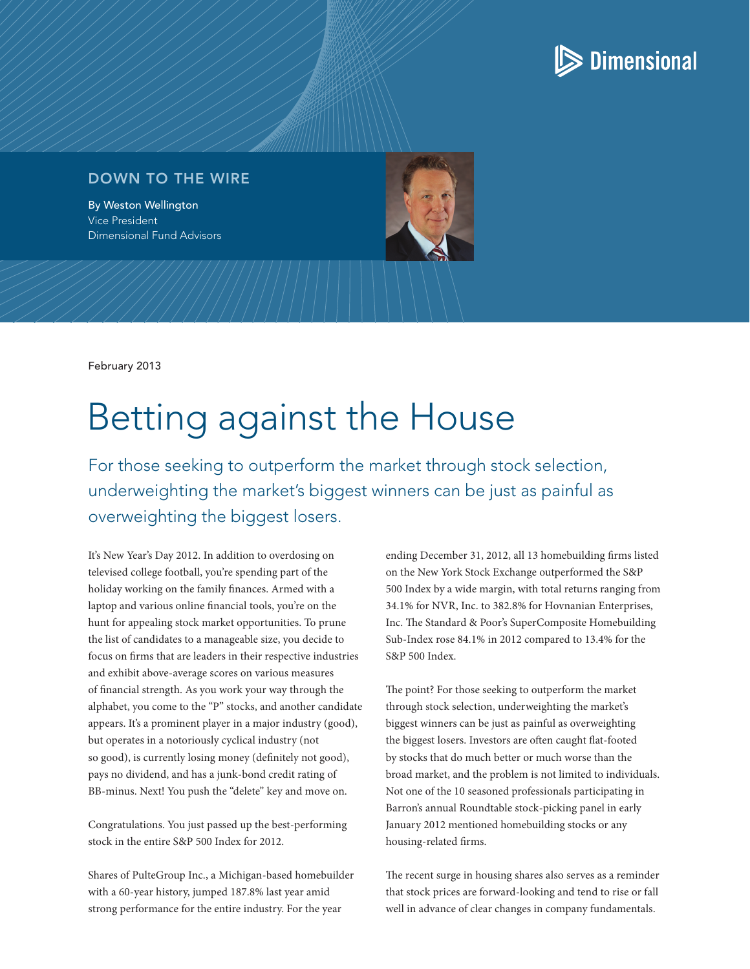

## DOWN TO THE WIRE

By Weston Wellington Vice President Dimensional Fund Advisors

February 2013

# Betting against the House

For those seeking to outperform the market through stock selection, underweighting the market's biggest winners can be just as painful as overweighting the biggest losers.

It's New Year's Day 2012. In addition to overdosing on televised college football, you're spending part of the holiday working on the family finances. Armed with a laptop and various online financial tools, you're on the hunt for appealing stock market opportunities. To prune the list of candidates to a manageable size, you decide to focus on firms that are leaders in their respective industries and exhibit above-average scores on various measures of financial strength. As you work your way through the alphabet, you come to the "P" stocks, and another candidate appears. It's a prominent player in a major industry (good), but operates in a notoriously cyclical industry (not so good), is currently losing money (definitely not good), pays no dividend, and has a junk-bond credit rating of BB-minus. Next! You push the "delete" key and move on.

Congratulations. You just passed up the best-performing stock in the entire S&P 500 Index for 2012.

Shares of PulteGroup Inc., a Michigan-based homebuilder with a 60-year history, jumped 187.8% last year amid strong performance for the entire industry. For the year

ending December 31, 2012, all 13 homebuilding firms listed on the New York Stock Exchange outperformed the S&P 500 Index by a wide margin, with total returns ranging from 34.1% for NVR, Inc. to 382.8% for Hovnanian Enterprises, Inc. The Standard & Poor's SuperComposite Homebuilding Sub-Index rose 84.1% in 2012 compared to 13.4% for the S&P 500 Index.

The point? For those seeking to outperform the market through stock selection, underweighting the market's biggest winners can be just as painful as overweighting the biggest losers. Investors are often caught flat-footed by stocks that do much better or much worse than the broad market, and the problem is not limited to individuals. Not one of the 10 seasoned professionals participating in Barron's annual Roundtable stock-picking panel in early January 2012 mentioned homebuilding stocks or any housing-related firms.

The recent surge in housing shares also serves as a reminder that stock prices are forward-looking and tend to rise or fall well in advance of clear changes in company fundamentals.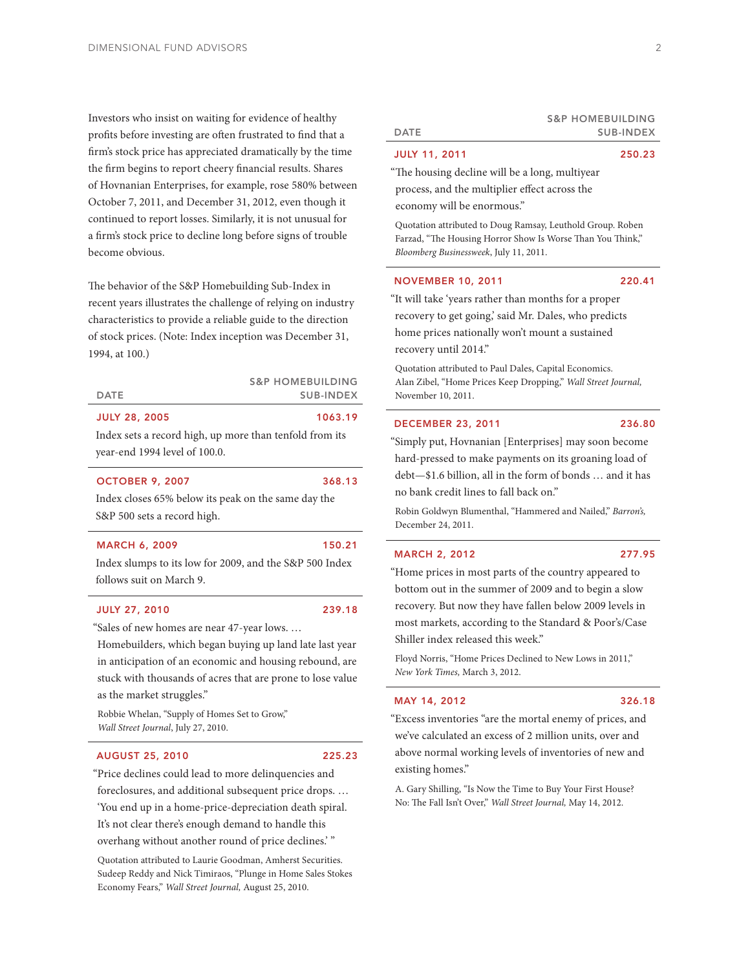Investors who insist on waiting for evidence of healthy profits before investing are often frustrated to find that a firm's stock price has appreciated dramatically by the time the firm begins to report cheery financial results. Shares of Hovnanian Enterprises, for example, rose 580% between October 7, 2011, and December 31, 2012, even though it continued to report losses. Similarly, it is not unusual for a firm's stock price to decline long before signs of trouble become obvious.

The behavior of the S&P Homebuilding Sub-Index in recent years illustrates the challenge of relying on industry characteristics to provide a reliable guide to the direction of stock prices. (Note: Index inception was December 31, 1994, at 100.)

> S&P HOMEBUILDING SUB-INDEX

#### JULY 28, 2005 1063.19

DATE

Index sets a record high, up more than tenfold from its

year-end 1994 level of 100.0.

#### OCTOBER 9, 2007 368.13

Index closes 65% below its peak on the same day the S&P 500 sets a record high.

### MARCH 6, 2009 150.21

Index slumps to its low for 2009, and the S&P 500 Index follows suit on March 9.

### JULY 27, 2010 239.18

"Sales of new homes are near 47-year lows. …

Homebuilders, which began buying up land late last year in anticipation of an economic and housing rebound, are stuck with thousands of acres that are prone to lose value as the market struggles."

 Robbie Whelan, "Supply of Homes Set to Grow," *Wall Street Journal*, July 27, 2010.

### AUGUST 25, 2010 225.23

"Price declines could lead to more delinquencies and foreclosures, and additional subsequent price drops. … 'You end up in a home-price-depreciation death spiral. It's not clear there's enough demand to handle this

overhang without another round of price declines.' "

 Quotation attributed to Laurie Goodman, Amherst Securities. Sudeep Reddy and Nick Timiraos, "Plunge in Home Sales Stokes Economy Fears," *Wall Street Journal,* August 25, 2010.

#### DATE

# SUB-INDEX

S&P HOMEBUILDING

### JULY 11, 2011 250.23

"The housing decline will be a long, multiyear process, and the multiplier effect across the economy will be enormous."

 Quotation attributed to Doug Ramsay, Leuthold Group. Roben Farzad, "The Housing Horror Show Is Worse Than You Think," *Bloomberg Businessweek*, July 11, 2011.

#### NOVEMBER 10, 2011 220.41

"It will take 'years rather than months for a proper recovery to get going,' said Mr. Dales, who predicts home prices nationally won't mount a sustained recovery until 2014."

 Quotation attributed to Paul Dales, Capital Economics. Alan Zibel, "Home Prices Keep Dropping," *Wall Street Journal,* November 10, 2011.

### DECEMBER 23, 2011 236.80

"Simply put, Hovnanian [Enterprises] may soon become hard-pressed to make payments on its groaning load of debt—\$1.6 billion, all in the form of bonds … and it has no bank credit lines to fall back on."

 Robin Goldwyn Blumenthal, "Hammered and Nailed," *Barron's,* December 24, 2011.

#### MARCH 2, 2012 277.95

Shiller index released this week."

"Home prices in most parts of the country appeared to bottom out in the summer of 2009 and to begin a slow recovery. But now they have fallen below 2009 levels in most markets, according to the Standard & Poor's/Case

 Floyd Norris, "Home Prices Declined to New Lows in 2011," *New York Times,* March 3, 2012.

#### MAY 14, 2012 326.18

"Excess inventories "are the mortal enemy of prices, and we've calculated an excess of 2 million units, over and above normal working levels of inventories of new and existing homes."

 A. Gary Shilling, "Is Now the Time to Buy Your First House? No: The Fall Isn't Over," *Wall Street Journal,* May 14, 2012.